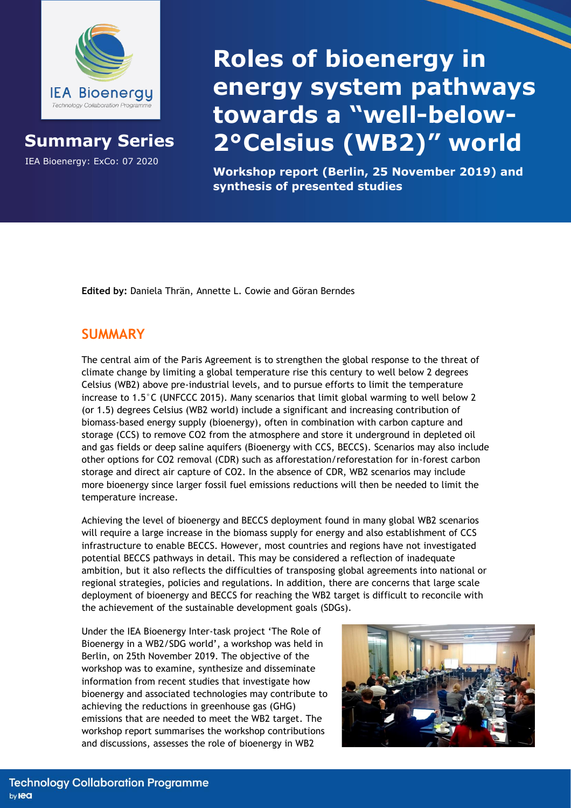

## **Summary Series**

IEA Bioenergy: ExCo: 07 2020

## **Roles of bioenergy in energy system pathways towards a "well-below-2°Celsius (WB2)" world**

**Workshop report (Berlin, 25 November 2019) and synthesis of presented studies**

**Edited by:** Daniela Thrän, Annette L. Cowie and Göran Berndes

## **SUMMARY**

The central aim of the Paris Agreement is to strengthen the global response to the threat of climate change by limiting a global temperature rise this century to well below 2 degrees Celsius (WB2) above pre-industrial levels, and to pursue efforts to limit the temperature increase to 1.5°C (UNFCCC 2015). Many scenarios that limit global warming to well below 2 (or 1.5) degrees Celsius (WB2 world) include a significant and increasing contribution of biomass-based energy supply (bioenergy), often in combination with carbon capture and storage (CCS) to remove CO2 from the atmosphere and store it underground in depleted oil and gas fields or deep saline aquifers (Bioenergy with CCS, BECCS). Scenarios may also include other options for CO2 removal (CDR) such as afforestation/reforestation for in-forest carbon storage and direct air capture of CO2. In the absence of CDR, WB2 scenarios may include more bioenergy since larger fossil fuel emissions reductions will then be needed to limit the temperature increase.

Achieving the level of bioenergy and BECCS deployment found in many global WB2 scenarios will require a large increase in the biomass supply for energy and also establishment of CCS infrastructure to enable BECCS. However, most countries and regions have not investigated potential BECCS pathways in detail. This may be considered a reflection of inadequate ambition, but it also reflects the difficulties of transposing global agreements into national or regional strategies, policies and regulations. In addition, there are concerns that large scale deployment of bioenergy and BECCS for reaching the WB2 target is difficult to reconcile with the achievement of the sustainable development goals (SDGs).

Under the IEA Bioenergy Inter-task project 'The Role of Bioenergy in a WB2/SDG world', a workshop was held in Berlin, on 25th November 2019. The objective of the workshop was to examine, synthesize and disseminate information from recent studies that investigate how bioenergy and associated technologies may contribute to achieving the reductions in greenhouse gas (GHG) emissions that are needed to meet the WB2 target. The workshop report summarises the workshop contributions and discussions, assesses the role of bioenergy in WB2

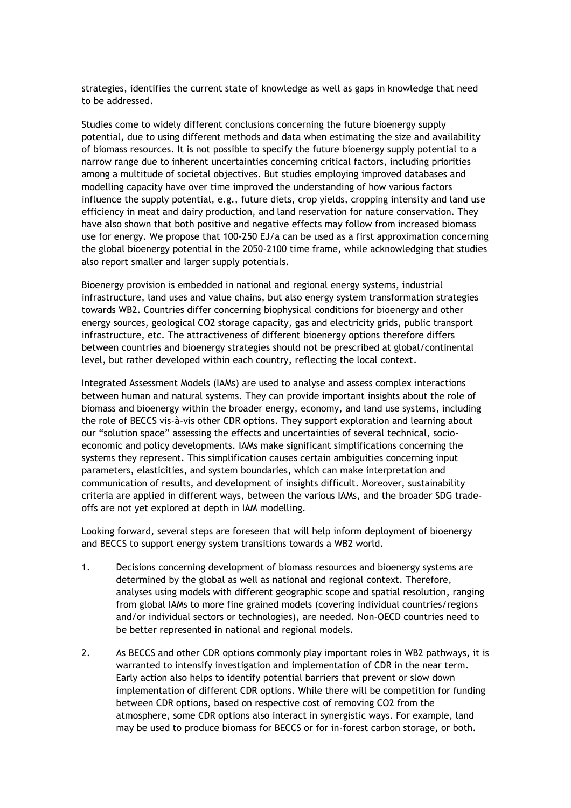strategies, identifies the current state of knowledge as well as gaps in knowledge that need to be addressed.

Studies come to widely different conclusions concerning the future bioenergy supply potential, due to using different methods and data when estimating the size and availability of biomass resources. It is not possible to specify the future bioenergy supply potential to a narrow range due to inherent uncertainties concerning critical factors, including priorities among a multitude of societal objectives. But studies employing improved databases and modelling capacity have over time improved the understanding of how various factors influence the supply potential, e.g., future diets, crop yields, cropping intensity and land use efficiency in meat and dairy production, and land reservation for nature conservation. They have also shown that both positive and negative effects may follow from increased biomass use for energy. We propose that 100-250 EJ/a can be used as a first approximation concerning the global bioenergy potential in the 2050-2100 time frame, while acknowledging that studies also report smaller and larger supply potentials.

Bioenergy provision is embedded in national and regional energy systems, industrial infrastructure, land uses and value chains, but also energy system transformation strategies towards WB2. Countries differ concerning biophysical conditions for bioenergy and other energy sources, geological CO2 storage capacity, gas and electricity grids, public transport infrastructure, etc. The attractiveness of different bioenergy options therefore differs between countries and bioenergy strategies should not be prescribed at global/continental level, but rather developed within each country, reflecting the local context.

Integrated Assessment Models (IAMs) are used to analyse and assess complex interactions between human and natural systems. They can provide important insights about the role of biomass and bioenergy within the broader energy, economy, and land use systems, including the role of BECCS vis-à-vis other CDR options. They support exploration and learning about our "solution space" assessing the effects and uncertainties of several technical, socioeconomic and policy developments. IAMs make significant simplifications concerning the systems they represent. This simplification causes certain ambiguities concerning input parameters, elasticities, and system boundaries, which can make interpretation and communication of results, and development of insights difficult. Moreover, sustainability criteria are applied in different ways, between the various IAMs, and the broader SDG tradeoffs are not yet explored at depth in IAM modelling.

Looking forward, several steps are foreseen that will help inform deployment of bioenergy and BECCS to support energy system transitions towards a WB2 world.

- 1. Decisions concerning development of biomass resources and bioenergy systems are determined by the global as well as national and regional context. Therefore, analyses using models with different geographic scope and spatial resolution, ranging from global IAMs to more fine grained models (covering individual countries/regions and/or individual sectors or technologies), are needed. Non-OECD countries need to be better represented in national and regional models.
- 2. As BECCS and other CDR options commonly play important roles in WB2 pathways, it is warranted to intensify investigation and implementation of CDR in the near term. Early action also helps to identify potential barriers that prevent or slow down implementation of different CDR options. While there will be competition for funding between CDR options, based on respective cost of removing CO2 from the atmosphere, some CDR options also interact in synergistic ways. For example, land may be used to produce biomass for BECCS or for in-forest carbon storage, or both.